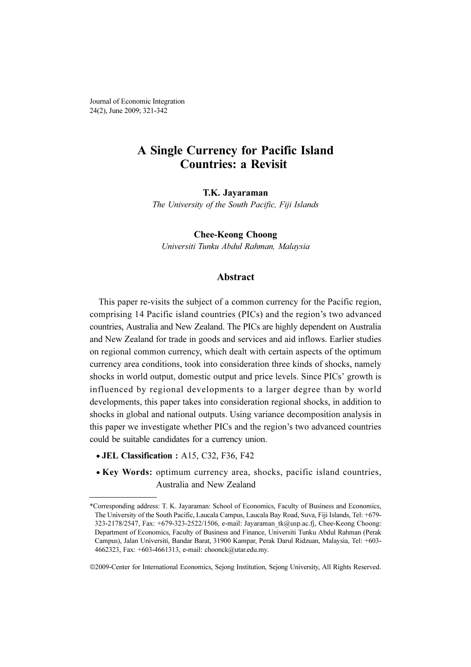Journal of Economic Integration 24(2), June 2009; 321-342

# A Single Currency for Pacific Island Countries: a Revisit

The University of the South Pacific, Fiji Islands

Universiti Tunku Abdul Rahman, Malaysia

# Abstract

This paper re-visits the subject of a common currency for the Pacific region, comprising 14 Pacific island countries (PICs) and the region's two advanced countries, Australia and New Zealand. The PICs are highly dependent on Australia and New Zealand for trade in goods and services and aid inflows. Earlier studies on regional common currency, which dealt with certain aspects of the optimum currency area conditions, took into consideration three kinds of shocks, namely shocks in world output, domestic output and price levels. Since PICs' growth is influenced by regional developments to a larger degree than by world developments, this paper takes into consideration regional shocks, in addition to shocks in global and national outputs. Using variance decomposition analysis in this paper we investigate whether PICs and the region's two advanced countries could be suitable candidates for a currency union.

- JEL Classification : A15, C32, F36, F42
- Key Words: optimum currency area, shocks, pacific island countries, Australia and New Zealand

<sup>\*</sup>Corresponding address: T. K. Jayaraman: School of Economics, Faculty of Business and Economics, The University of the South Pacific, Laucala Campus, Laucala Bay Road, Suva, Fiji Islands, Tel: +679- 323-2178/2547, Fax: +679-323-2522/1506, e-mail: Jayaraman\_tk@usp.ac.fj, Chee-Keong Choong: Department of Economics, Faculty of Business and Finance, Universiti Tunku Abdul Rahman (Perak Campus), Jalan Universiti, Bandar Barat, 31900 Kampar, Perak Darul Ridzuan, Malaysia, Tel: +603- 4662323, Fax: +603-4661313, e-mail: choonck@utar.edu.my.

<sup>©</sup>2009-Center for International Economics, Sejong Institution, Sejong University, All Rights Reserved.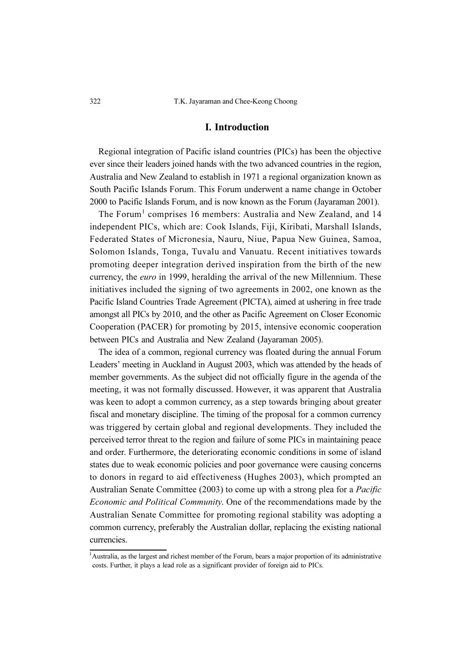# I. Introduction

Regional integration of Pacific island countries (PICs) has been the objective ever since their leaders joined hands with the two advanced countries in the region, Australia and New Zealand to establish in 1971 a regional organization known as South Pacific Islands Forum. This Forum underwent a name change in October 2000 to Pacific Islands Forum, and is now known as the Forum (Jayaraman 2001).

The Forum<sup>1</sup> comprises 16 members: Australia and New Zealand, and 14 independent PICs, which are: Cook Islands, Fiji, Kiribati, Marshall Islands, Federated States of Micronesia, Nauru, Niue, Papua New Guinea, Samoa, Solomon Islands, Tonga, Tuvalu and Vanuatu. Recent initiatives towards promoting deeper integration derived inspiration from the birth of the new currency, the euro in 1999, heralding the arrival of the new Millennium. These initiatives included the signing of two agreements in 2002, one known as the Pacific Island Countries Trade Agreement (PICTA), aimed at ushering in free trade amongst all PICs by 2010, and the other as Pacific Agreement on Closer Economic Cooperation (PACER) for promoting by 2015, intensive economic cooperation between PICs and Australia and New Zealand (Jayaraman 2005).

The idea of a common, regional currency was floated during the annual Forum Leaders' meeting in Auckland in August 2003, which was attended by the heads of member governments. As the subject did not officially figure in the agenda of the meeting, it was not formally discussed. However, it was apparent that Australia was keen to adopt a common currency, as a step towards bringing about greater fiscal and monetary discipline. The timing of the proposal for a common currency was triggered by certain global and regional developments. They included the perceived terror threat to the region and failure of some PICs in maintaining peace and order. Furthermore, the deteriorating economic conditions in some of island states due to weak economic policies and poor governance were causing concerns to donors in regard to aid effectiveness (Hughes 2003), which prompted an Australian Senate Committee (2003) to come up with a strong plea for a Pacific Economic and Political Community. One of the recommendations made by the Australian Senate Committee for promoting regional stability was adopting a common currency, preferably the Australian dollar, replacing the existing national currencies.

<sup>1</sup> Australia, as the largest and richest member of the Forum, bears a major proportion of its administrative costs. Further, it plays a lead role as a significant provider of foreign aid to PICs.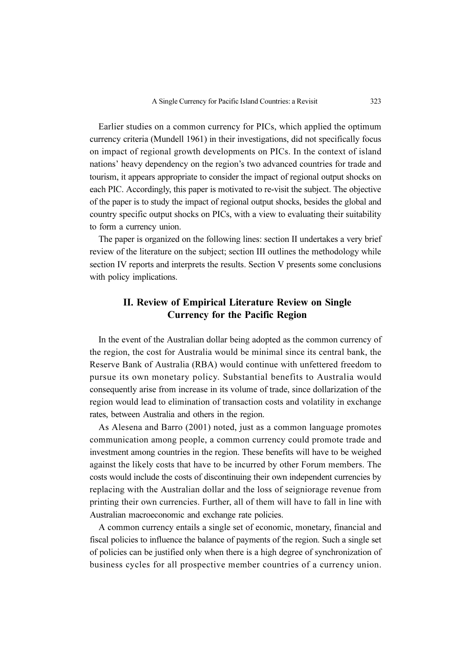Earlier studies on a common currency for PICs, which applied the optimum currency criteria (Mundell 1961) in their investigations, did not specifically focus on impact of regional growth developments on PICs. In the context of island nations' heavy dependency on the region's two advanced countries for trade and tourism, it appears appropriate to consider the impact of regional output shocks on each PIC. Accordingly, this paper is motivated to re-visit the subject. The objective of the paper is to study the impact of regional output shocks, besides the global and country specific output shocks on PICs, with a view to evaluating their suitability to form a currency union.

The paper is organized on the following lines: section II undertakes a very brief review of the literature on the subject; section III outlines the methodology while section IV reports and interprets the results. Section V presents some conclusions with policy implications.

# II. Review of Empirical Literature Review on Single Currency for the Pacific Region

In the event of the Australian dollar being adopted as the common currency of the region, the cost for Australia would be minimal since its central bank, the Reserve Bank of Australia (RBA) would continue with unfettered freedom to pursue its own monetary policy. Substantial benefits to Australia would consequently arise from increase in its volume of trade, since dollarization of the region would lead to elimination of transaction costs and volatility in exchange rates, between Australia and others in the region.

As Alesena and Barro (2001) noted, just as a common language promotes communication among people, a common currency could promote trade and investment among countries in the region. These benefits will have to be weighed against the likely costs that have to be incurred by other Forum members. The costs would include the costs of discontinuing their own independent currencies by replacing with the Australian dollar and the loss of seigniorage revenue from printing their own currencies. Further, all of them will have to fall in line with Australian macroeconomic and exchange rate policies.

A common currency entails a single set of economic, monetary, financial and fiscal policies to influence the balance of payments of the region. Such a single set of policies can be justified only when there is a high degree of synchronization of business cycles for all prospective member countries of a currency union.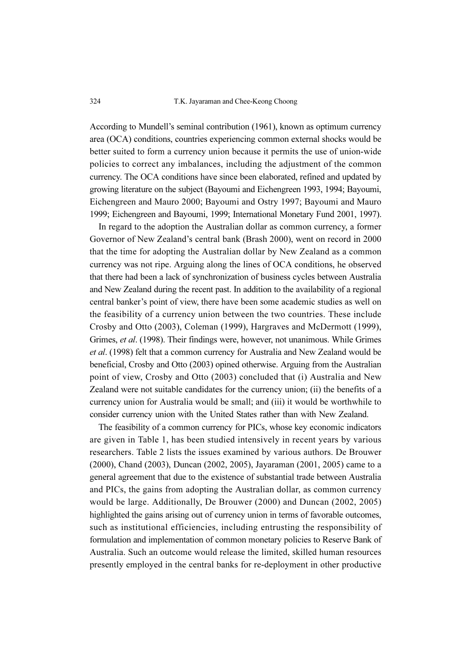#### 324 T.K. Jayaraman and Chee-Keong Choong

According to Mundell's seminal contribution (1961), known as optimum currency area (OCA) conditions, countries experiencing common external shocks would be better suited to form a currency union because it permits the use of union-wide policies to correct any imbalances, including the adjustment of the common currency. The OCA conditions have since been elaborated, refined and updated by growing literature on the subject (Bayoumi and Eichengreen 1993, 1994; Bayoumi, Eichengreen and Mauro 2000; Bayoumi and Ostry 1997; Bayoumi and Mauro 1999; Eichengreen and Bayoumi, 1999; International Monetary Fund 2001, 1997).

In regard to the adoption the Australian dollar as common currency, a former Governor of New Zealand's central bank (Brash 2000), went on record in 2000 that the time for adopting the Australian dollar by New Zealand as a common currency was not ripe. Arguing along the lines of OCA conditions, he observed that there had been a lack of synchronization of business cycles between Australia and New Zealand during the recent past. In addition to the availability of a regional central banker's point of view, there have been some academic studies as well on the feasibility of a currency union between the two countries. These include Crosby and Otto (2003), Coleman (1999), Hargraves and McDermott (1999), Grimes, et al. (1998). Their findings were, however, not unanimous. While Grimes et al. (1998) felt that a common currency for Australia and New Zealand would be beneficial, Crosby and Otto (2003) opined otherwise. Arguing from the Australian point of view, Crosby and Otto (2003) concluded that (i) Australia and New Zealand were not suitable candidates for the currency union; (ii) the benefits of a currency union for Australia would be small; and (iii) it would be worthwhile to consider currency union with the United States rather than with New Zealand.

The feasibility of a common currency for PICs, whose key economic indicators are given in Table 1, has been studied intensively in recent years by various researchers. Table 2 lists the issues examined by various authors. De Brouwer (2000), Chand (2003), Duncan (2002, 2005), Jayaraman (2001, 2005) came to a general agreement that due to the existence of substantial trade between Australia and PICs, the gains from adopting the Australian dollar, as common currency would be large. Additionally, De Brouwer (2000) and Duncan (2002, 2005) highlighted the gains arising out of currency union in terms of favorable outcomes, such as institutional efficiencies, including entrusting the responsibility of formulation and implementation of common monetary policies to Reserve Bank of Australia. Such an outcome would release the limited, skilled human resources presently employed in the central banks for re-deployment in other productive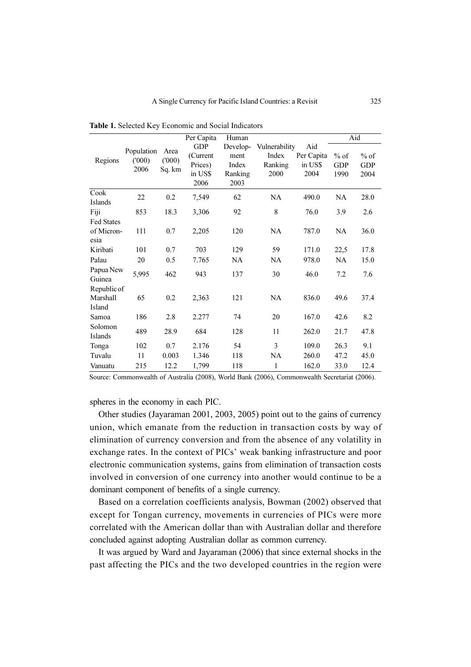|                                         |                             |                         | Per Capita                                           | Human                                        |                                           |                                      |                              | Aid                          |
|-----------------------------------------|-----------------------------|-------------------------|------------------------------------------------------|----------------------------------------------|-------------------------------------------|--------------------------------------|------------------------------|------------------------------|
| Regions                                 | Population<br>(000)<br>2006 | Area<br>(000)<br>Sq. km | <b>GDP</b><br>(Current<br>Prices)<br>in US\$<br>2006 | Develop-<br>ment<br>Index<br>Ranking<br>2003 | Vulnerability<br>Index<br>Ranking<br>2000 | Aid<br>Per Capita<br>in US\$<br>2004 | $%$ of<br><b>GDP</b><br>1990 | $%$ of<br><b>GDP</b><br>2004 |
| Cook<br><b>Islands</b>                  | 22                          | 0.2                     | 7,549                                                | 62                                           | <b>NA</b>                                 | 490.0                                | NA                           | 28.0                         |
| Fiji                                    | 853                         | 18.3                    | 3,306                                                | 92                                           | $\,$ 8 $\,$                               | 76.0                                 | 3.9                          | 2.6                          |
| <b>Fed States</b><br>of Micron-<br>esia | 111                         | 0.7                     | 2,205                                                | 120                                          | NA                                        | 787.0                                | NA.                          | 36.0                         |
| Kiribati                                | 101                         | 0.7                     | 703                                                  | 129                                          | 59                                        | 171.0                                | 22,5                         | 17.8                         |
| Palau                                   | 20                          | 0.5                     | 7.765                                                | NA                                           | NA                                        | 978.0                                | NA                           | 15.0                         |
| Papua New<br>Guinea                     | 5,995                       | 462                     | 943                                                  | 137                                          | 30                                        | 46.0                                 | 7.2                          | 7.6                          |
| Republic of<br>Marshall<br>Island       | 65                          | 0.2                     | 2,363                                                | 121                                          | NA                                        | 836.0                                | 49.6                         | 37.4                         |
| Samoa                                   | 186                         | 2.8                     | 2.277                                                | 74                                           | 20                                        | 167.0                                | 42.6                         | 8.2                          |
| Solomon<br>Islands                      | 489                         | 28.9                    | 684                                                  | 128                                          | 11                                        | 262.0                                | 21.7                         | 47.8                         |
| Tonga                                   | 102                         | 0.7                     | 2.176                                                | 54                                           | 3                                         | 109.0                                | 26.3                         | 9.1                          |
| Tuvalu                                  | 11                          | 0.003                   | 1.346                                                | 118                                          | NA                                        | 260.0                                | 47.2                         | 45.0                         |
| Vanuatu                                 | 215                         | 12.2                    | 1,799                                                | 118                                          | 1                                         | 162.0                                | 33.0                         | 12.4                         |

Table 1. Selected Key Economic and Social Indicators

Source: Commonwealth of Australia (2008), World Bank (2006), Commonwealth Secretariat (2006).

spheres in the economy in each PIC.

Other studies (Jayaraman 2001, 2003, 2005) point out to the gains of currency union, which emanate from the reduction in transaction costs by way of elimination of currency conversion and from the absence of any volatility in exchange rates. In the context of PICs' weak banking infrastructure and poor electronic communication systems, gains from elimination of transaction costs involved in conversion of one currency into another would continue to be a dominant component of benefits of a single currency.

Based on a correlation coefficients analysis, Bowman (2002) observed that except for Tongan currency, movements in currencies of PICs were more correlated with the American dollar than with Australian dollar and therefore concluded against adopting Australian dollar as common currency.

It was argued by Ward and Jayaraman (2006) that since external shocks in the past affecting the PICs and the two developed countries in the region were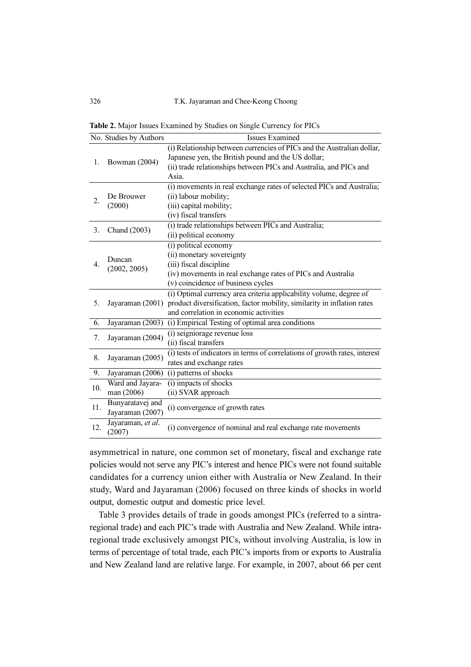326 T.K. Jayaraman and Chee-Keong Choong

Table 2. Major Issues Examined by Studies on Single Currency for PICs

|     | No. Studies by Authors | Issues Examined                                                                          |
|-----|------------------------|------------------------------------------------------------------------------------------|
|     |                        | (i) Relationship between currencies of PICs and the Australian dollar,                   |
| 1.  | Bowman (2004)          | Japanese yen, the British pound and the US dollar;                                       |
|     |                        | (ii) trade relationships between PICs and Australia, and PICs and                        |
|     |                        | Asia.                                                                                    |
|     |                        | (i) movements in real exchange rates of selected PICs and Australia;                     |
| 2.  | De Brouwer             | (ii) labour mobility;                                                                    |
|     | (2000)                 | (iii) capital mobility;                                                                  |
|     |                        | (iv) fiscal transfers                                                                    |
| 3.  | Chand (2003)           | (i) trade relationships between PICs and Australia;                                      |
|     |                        | (ii) political economy                                                                   |
|     |                        | (i) political economy                                                                    |
|     | Duncan                 | (ii) monetary sovereignty                                                                |
| 4.  | (2002, 2005)           | (iii) fiscal discipline                                                                  |
|     |                        | (iv) movements in real exchange rates of PICs and Australia                              |
|     |                        | (v) coincidence of business cycles                                                       |
|     |                        | (i) Optimal currency area criteria applicability volume, degree of                       |
| 5.  |                        | Jayaraman (2001) product diversification, factor mobility, similarity in inflation rates |
|     |                        | and correlation in economic activities                                                   |
| 6.  | Jayaraman (2003)       | (i) Empirical Testing of optimal area conditions                                         |
| 7.  | Jayaraman (2004)       | (i) seigniorage revenue loss                                                             |
|     |                        | (ii) fiscal transfers                                                                    |
| 8.  | Jayaraman (2005)       | (i) tests of indicators in terms of correlations of growth rates, interest               |
|     |                        | rates and exchange rates                                                                 |
| 9.  | Jayaraman (2006)       | (i) patterns of shocks                                                                   |
| 10. | Ward and Jayara-       | (i) impacts of shocks                                                                    |
|     | man (2006)             | (ii) SVAR approach                                                                       |
| 11. | Bunyaratavej and       | (i) convergence of growth rates                                                          |
|     | Jayaraman (2007)       |                                                                                          |
| 12. | Jayaraman, et al.      | (i) convergence of nominal and real exchange rate movements                              |
|     | (2007)                 |                                                                                          |

asymmetrical in nature, one common set of monetary, fiscal and exchange rate policies would not serve any PIC's interest and hence PICs were not found suitable candidates for a currency union either with Australia or New Zealand. In their study, Ward and Jayaraman (2006) focused on three kinds of shocks in world output, domestic output and domestic price level.

Table 3 provides details of trade in goods amongst PICs (referred to a sintraregional trade) and each PIC's trade with Australia and New Zealand. While intraregional trade exclusively amongst PICs, without involving Australia, is low in terms of percentage of total trade, each PIC's imports from or exports to Australia and New Zealand land are relative large. For example, in 2007, about 66 per cent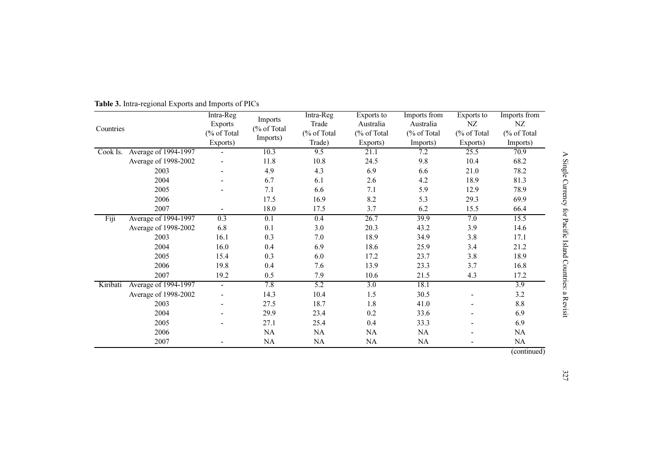|           |                      | Intra-Reg                |                        | Intra-Reg   | Exports to  | Imports from | Exports to               | Imports from     |
|-----------|----------------------|--------------------------|------------------------|-------------|-------------|--------------|--------------------------|------------------|
| Countries |                      | <b>Exports</b>           | Imports<br>(% of Total | Trade       | Australia   | Australia    | NZ                       | NZ               |
|           |                      | (% of Total              |                        | (% of Total | (% of Total | (% of Total) | (% of Total              | (% of Total      |
|           |                      | Exports)                 | Imports)               | Trade)      | Exports)    | Imports)     | Exports)                 | Imports)         |
| Cook Is.  | Average of 1994-1997 |                          | 10.3                   | 9.5         | 21.1        | 7.2          | 25.5                     | 70.9             |
|           | Average of 1998-2002 |                          | 11.8                   | 10.8        | 24.5        | 9.8          | 10.4                     | 68.2             |
|           | 2003                 |                          | 4.9                    | 4.3         | 6.9         | 6.6          | 21.0                     | 78.2             |
|           | 2004                 |                          | 6.7                    | 6.1         | 2.6         | 4.2          | 18.9                     | 81.3             |
|           | 2005                 |                          | 7.1                    | 6.6         | 7.1         | 5.9          | 12.9                     | 78.9             |
|           | 2006                 |                          | 17.5                   | 16.9        | 8.2         | 5.3          | 29.3                     | 69.9             |
|           | 2007                 |                          | 18.0                   | 17.5        | 3.7         | 6.2          | 15.5                     | 66.4             |
| Fiji      | Average of 1994-1997 | 0.3                      | 0.1                    | 0.4         | 26.7        | 39.9         | 7.0                      | 15.5             |
|           | Average of 1998-2002 | 6.8                      | 0.1                    | 3.0         | 20.3        | 43.2         | 3.9                      | 14.6             |
|           | 2003                 | 16.1                     | 0.3                    | 7.0         | 18.9        | 34.9         | 3.8                      | 17.1             |
|           | 2004                 | 16.0                     | 0.4                    | 6.9         | 18.6        | 25.9         | 3.4                      | 21.2             |
|           | 2005                 | 15.4                     | 0.3                    | 6.0         | 17.2        | 23.7         | 3.8                      | 18.9             |
|           | 2006                 | 19.8                     | 0.4                    | 7.6         | 13.9        | 23.3         | 3.7                      | 16.8             |
|           | 2007                 | 19.2                     | 0.5                    | 7.9         | 10.6        | 21.5         | 4.3                      | 17.2             |
| Kiribati  | Average of 1994-1997 | $\blacksquare$           | 7.8                    | 5.2         | 3.0         | 18.1         |                          | $\overline{3.9}$ |
|           | Average of 1998-2002 |                          | 14.3                   | 10.4        | 1.5         | 30.5         | $\overline{\phantom{a}}$ | 3.2              |
|           | 2003                 | $\overline{\phantom{a}}$ | 27.5                   | 18.7        | 1.8         | 41.0         | $\overline{\phantom{a}}$ | 8.8              |
|           | 2004                 |                          | 29.9                   | 23.4        | 0.2         | 33.6         |                          | 6.9              |
|           | 2005                 |                          | 27.1                   | 25.4        | 0.4         | 33.3         |                          | 6.9              |
|           | 2006                 |                          | NA                     | NA          | NA          | NA           |                          | NA               |
|           | 2007                 |                          | NA                     | NA          | NA          | NA           |                          | NA               |
|           |                      |                          |                        |             |             |              |                          | (constant)       |

Table 3. Intra-regional Exports and Imports of PICs

(continued)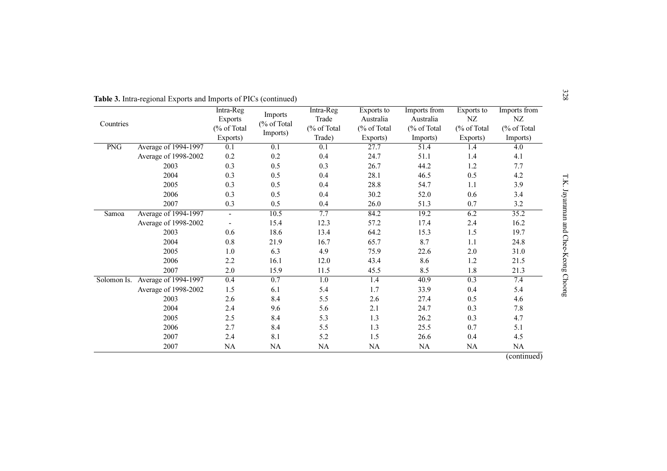Table 3. Intra-regional Exports and Imports of PICs (continued)<br>
Intra-Reg Imports The Regions into Exports into the Region of Payer (% of Total (% of Total (% of Total (% of Total (% of Total (% of Total (% of Total (% of 4.6 2.4 9.6 5.6 2.1 24.7 0.3 7.8 2.5 8.4 5.3 1.3 26.2 0.3 4.7 2.7 8.4 5.5 1.3 25.5 0.7 5.1 2.4 8.1 5.2 1.5 26.6 0.4 4.5NA NA NA NA NA NA NA

(continued)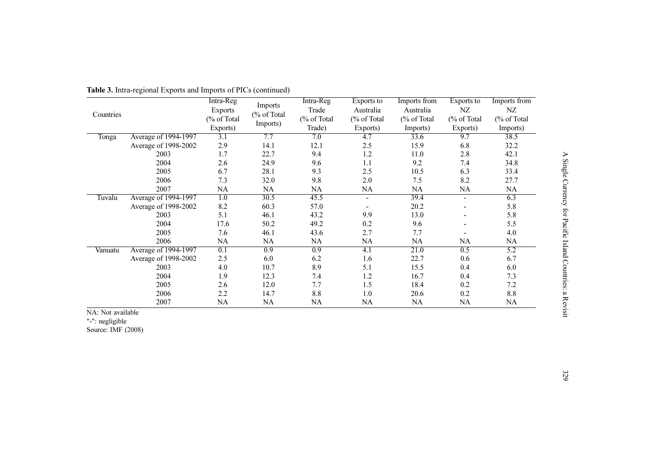|           |                      | Intra-Reg   | Imports     | Intra-Reg        | Exports to     | Imports from | Exports to               | Imports from |
|-----------|----------------------|-------------|-------------|------------------|----------------|--------------|--------------------------|--------------|
| Countries |                      | Exports     | (% of Total | Trade            | Australia      | Australia    | NZ                       | NZ           |
|           |                      | (% of Total |             | (% of Total      | (% of Total    | (% of Total  | (% of Total              | (% of Total  |
|           |                      | Exports)    | Imports)    | Trade)           | Exports)       | Imports)     | Exports)                 | Imports)     |
| Tonga     | Average of 1994-1997 | 3.1         | 7.7         | 7.0              | 4.7            | 33.6         | 9.7                      | 38.5         |
|           | Average of 1998-2002 | 2.9         | 14.1        | 12.1             | 2.5            | 15.9         | 6.8                      | 32.2         |
|           | 2003                 | 1.7         | 22.7        | 9.4              | 1.2            | 11.0         | 2.8                      | 42.1         |
|           | 2004                 | 2.6         | 24.9        | 9.6              | 1.1            | 9.2          | 7.4                      | 34.8         |
|           | 2005                 | 6.7         | 28.1        | 9.3              | 2.5            | 10.5         | 6.3                      | 33.4         |
|           | 2006                 | 7.3         | 32.0        | 9.8              | 2.0            | 7.5          | 8.2                      | 27.7         |
|           | 2007                 | NA          | NA          | NA               | NA             | NA           | NA                       | NA           |
| Tuvalu    | Average of 1994-1997 | 1.0         | 30.5        | 45.5             | $\blacksquare$ | 39.4         | $\blacksquare$           | 6.3          |
|           | Average of 1998-2002 | 8.2         | 60.3        | 57.0             |                | 20.2         | $\overline{\phantom{a}}$ | 5.8          |
|           | 2003                 | 5.1         | 46.1        | 43.2             | 9.9            | 13.0         | $\overline{\phantom{a}}$ | 5.8          |
|           | 2004                 | 17.6        | 50.2        | 49.2             | 0.2            | 9.6          |                          | 5.5          |
|           | 2005                 | 7.6         | 46.1        | 43.6             | 2.7            | 7.7          |                          | 4.0          |
|           | 2006                 | NA          | NA          | NA               | NA             | NA           | NA                       | NA           |
| Vanuatu   | Average of 1994-1997 | 0.1         | 0.9         | $\overline{0.9}$ | 4.1            | 21.0         | 0.5                      | 5.2          |
|           | Average of 1998-2002 | 2.5         | 6.0         | 6.2              | 1.6            | 22.7         | 0.6                      | 6.7          |
|           | 2003                 | 4.0         | 10.7        | 8.9              | 5.1            | 15.5         | 0.4                      | 6.0          |
|           | 2004                 | 1.9         | 12.3        | 7.4              | 1.2            | 16.7         | 0.4                      | 7.3          |
|           | 2005                 | 2.6         | 12.0        | 7.7              | 1.5            | 18.4         | 0.2                      | 7.2          |
|           | 2006                 | 2.2         | 14.7        | 8.8              | 1.0            | 20.6         | 0.2                      | 8.8          |
|           | 2007                 | NA          | NA          | NA               | NA             | NA           | NA                       | <b>NA</b>    |

# Table 3. Intra-regional Exports and Imports of PICs (continued)

NA: Not available "-": negligible

Source: IMF (2008)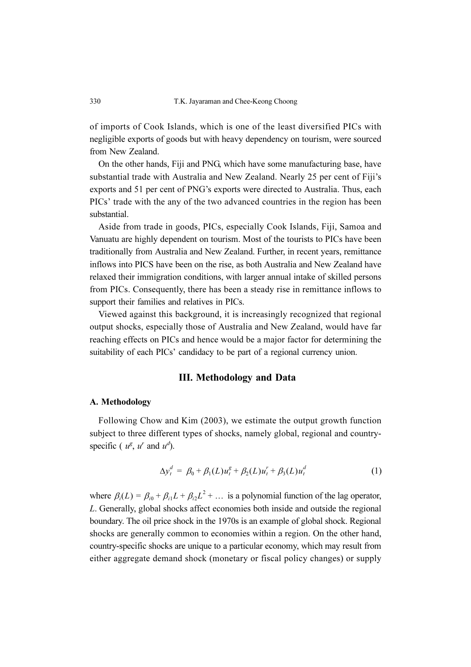of imports of Cook Islands, which is one of the least diversified PICs with negligible exports of goods but with heavy dependency on tourism, were sourced from New Zealand.

On the other hands, Fiji and PNG, which have some manufacturing base, have substantial trade with Australia and New Zealand. Nearly 25 per cent of Fiji's exports and 51 per cent of PNG's exports were directed to Australia. Thus, each PICs' trade with the any of the two advanced countries in the region has been substantial.

Aside from trade in goods, PICs, especially Cook Islands, Fiji, Samoa and Vanuatu are highly dependent on tourism. Most of the tourists to PICs have been traditionally from Australia and New Zealand. Further, in recent years, remittance inflows into PICS have been on the rise, as both Australia and New Zealand have relaxed their immigration conditions, with larger annual intake of skilled persons from PICs. Consequently, there has been a steady rise in remittance inflows to support their families and relatives in PICs.

Viewed against this background, it is increasingly recognized that regional output shocks, especially those of Australia and New Zealand, would have far reaching effects on PICs and hence would be a major factor for determining the suitability of each PICs' candidacy to be part of a regional currency union.

## III. Methodology and Data

#### A. Methodology

Following Chow and Kim (2003), we estimate the output growth function subject to three different types of shocks, namely global, regional and countryspecific ( $u^g$ ,  $u^r$  and  $u^d$ ).

$$
\Delta y_t^d = \beta_0 + \beta_1(L) u_t^g + \beta_2(L) u_t^r + \beta_3(L) u_t^d \tag{1}
$$

where  $\beta_i(L) = \beta_{i0} + \beta_{i1}L + \beta_{i2}L^2 + \dots$  is a polynomial function of the lag operator, L. Generally, global shocks affect economies both inside and outside the regional boundary. The oil price shock in the 1970s is an example of global shock. Regional shocks are generally common to economies within a region. On the other hand, country-specific shocks are unique to a particular economy, which may result from either aggregate demand shock (monetary or fiscal policy changes) or supply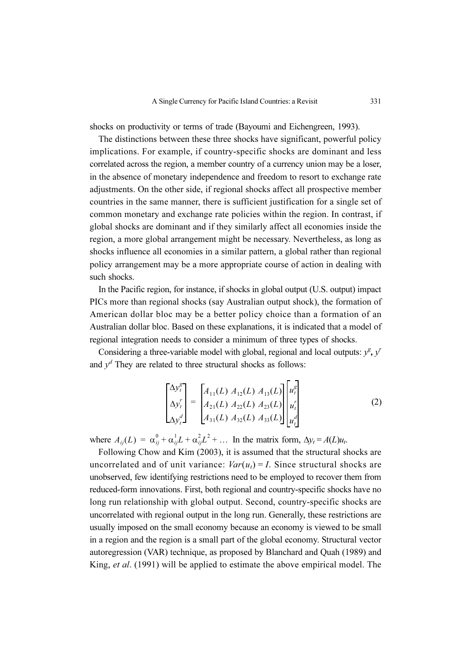shocks on productivity or terms of trade (Bayoumi and Eichengreen, 1993).

The distinctions between these three shocks have significant, powerful policy implications. For example, if country-specific shocks are dominant and less correlated across the region, a member country of a currency union may be a loser, in the absence of monetary independence and freedom to resort to exchange rate adjustments. On the other side, if regional shocks affect all prospective member countries in the same manner, there is sufficient justification for a single set of common monetary and exchange rate policies within the region. In contrast, if global shocks are dominant and if they similarly affect all economies inside the region, a more global arrangement might be necessary. Nevertheless, as long as shocks influence all economies in a similar pattern, a global rather than regional policy arrangement may be a more appropriate course of action in dealing with such shocks.

In the Pacific region, for instance, if shocks in global output (U.S. output) impact PICs more than regional shocks (say Australian output shock), the formation of American dollar bloc may be a better policy choice than a formation of an Australian dollar bloc. Based on these explanations, it is indicated that a model of regional integration needs to consider a minimum of three types of shocks.

Considering a three-variable model with global, regional and local outputs:  $y^g$ ,  $y^r$ and  $y<sup>d</sup>$  They are related to three structural shocks as follows:

$$
\begin{bmatrix}\n\Delta y_t^g \\
\Delta y_t^r \\
\Delta y_t^d\n\end{bmatrix} = \begin{bmatrix}\nA_{11}(L) & A_{12}(L) & A_{13}(L) \\
A_{21}(L) & A_{22}(L) & A_{23}(L) \\
A_{31}(L) & A_{32}(L) & A_{33}(L)\n\end{bmatrix} \begin{bmatrix}\nu_t^g \\
u_t^r \\
u_t^d\n\end{bmatrix}
$$
\n(2)

where  $A_{ij}(L) = \alpha_{ij}^0 + \alpha_{ij}^1 L + \alpha_{ij}^2 L^2 + \dots$  In the matrix form,  $\Delta y_t = A(L)u_t$ .

Following Chow and Kim (2003), it is assumed that the structural shocks are uncorrelated and of unit variance:  $Var(u_t) = I$ . Since structural shocks are unobserved, few identifying restrictions need to be employed to recover them from reduced-form innovations. First, both regional and country-specific shocks have no long run relationship with global output. Second, country-specific shocks are uncorrelated with regional output in the long run. Generally, these restrictions are usually imposed on the small economy because an economy is viewed to be small in a region and the region is a small part of the global economy. Structural vector autoregression (VAR) technique, as proposed by Blanchard and Quah (1989) and King, *et al.* (1991) will be applied to estimate the above empirical model. The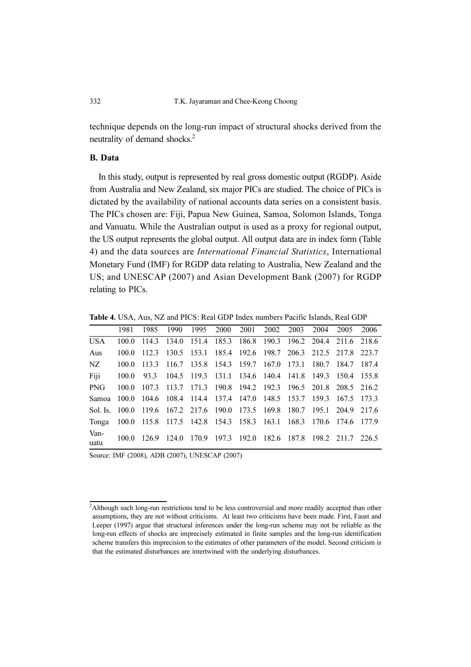technique depends on the long-run impact of structural shocks derived from the neutrality of demand shocks.*<sup>2</sup>*

#### B. Data

In this study, output is represented by real gross domestic output (RGDP). Aside from Australia and New Zealand, six major PICs are studied. The choice of PICs is dictated by the availability of national accounts data series on a consistent basis. The PICs chosen are: Fiji, Papua New Guinea, Samoa, Solomon Islands, Tonga and Vanuatu. While the Australian output is used as a proxy for regional output, the US output represents the global output. All output data are in index form (Table 4) and the data sources are International Financial Statistics, International Monetary Fund (IMF) for RGDP data relating to Australia, New Zealand and the US; and UNESCAP (2007) and Asian Development Bank (2007) for RGDP relating to PICs.

Table 4. USA, Aus, NZ and PICS: Real GDP Index numbers Pacific Islands, Real GDP

|                                                                         | 1981  | 1985 | 1990 1995 2000 2001 2002 2003 |  |  | 2004 | 2005                                                              | 2006 |
|-------------------------------------------------------------------------|-------|------|-------------------------------|--|--|------|-------------------------------------------------------------------|------|
| <b>USA</b>                                                              | 100.0 |      |                               |  |  |      | 114.3 134.0 151.4 185.3 186.8 190.3 196.2 204.4 211.6 218.6       |      |
| Aus                                                                     | 100.0 |      |                               |  |  |      | 112.3 130.5 153.1 185.4 192.6 198.7 206.3 212.5 217.8 223.7       |      |
| NZ                                                                      | 100.0 |      |                               |  |  |      | 113.3 116.7 135.8 154.3 159.7 167.0 173.1 180.7 184.7 187.4       |      |
| Fiji                                                                    | 100.0 |      |                               |  |  |      | 93.3 104.5 119.3 131.1 134.6 140.4 141.8 149.3 150.4 155.8        |      |
| <b>PNG</b>                                                              | 100.0 |      |                               |  |  |      | 107.3 113.7 171.3 190.8 194.2 192.3 196.5 201.8 208.5 216.2       |      |
| Samoa                                                                   |       |      |                               |  |  |      | 100.0 104.6 108.4 114.4 137.4 147.0 148.5 153.7 159.3 167.5 173.3 |      |
| Sol. Is. 100.0                                                          |       |      |                               |  |  |      | 119.6 167.2 217.6 190.0 173.5 169.8 180.7 195.1 204.9 217.6       |      |
| Tonga 100.0 115.8 117.5 142.8 154.3 158.3 163.1 168.3 170.6 174.6 177.9 |       |      |                               |  |  |      |                                                                   |      |
| Van-<br>uatu                                                            | 100.0 |      |                               |  |  |      | 126.9 124.0 170.9 197.3 192.0 182.6 187.8 198.2 211.7 226.5       |      |

Source: IMF (2008), ADB (2007), UNESCAP (2007)

<sup>2</sup> Although such long-run restrictions tend to be less controversial and more readily accepted than other assumptions, they are not without criticisms. At least two criticisms have been made. First, Faust and Leeper (1997) argue that structural inferences under the long-run scheme may not be reliable as the long-run effects of shocks are imprecisely estimated in finite samples and the long-run identification scheme transfers this imprecision to the estimates of other parameters of the model. Second criticism is that the estimated disturbances are intertwined with the underlying disturbances.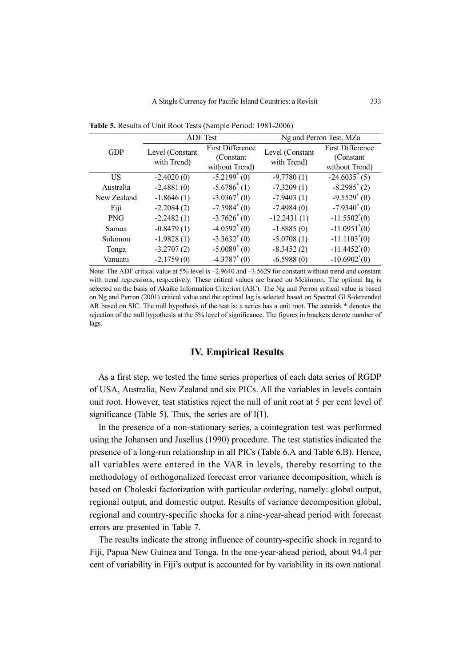GDP ADF Test Ng and Perron Test, MZa Level (Constant with Trend) First Difference (Constant without Trend) Level (Constant with Trend) First Difference (Constant without Trend) US  $-2.4020(0)$   $-5.2199*(0)$  $-9.7780(1)$  $-24.6035^*(5)$ Australia -2.4881 (0) -5.6786<sup>\*</sup> (1)  $-7.3209(1)$  $-8.2985^*(2)$ New Zealand  $-1.8646(1)$   $-3.0367^*(0)$  $-7.9403(1)$  $-9.5529$ <sup>\*</sup> $(0)$ Fiji  $-2.2084(2)$   $-7.5984^*(0)$  $-7.4984(0)$  $-7.9340^*(0)$ PNG  $-2.2482(1)$   $-3.7626^{*}(0)$  $-12.2431(1)$  $-11.5502^*(0)$ Samoa  $-0.8479(1)$   $-4.0592^{*}(0)$  $-1.8885(0)$  $-11.0951^{*}(0)$ Solomon  $-1.9828(1)$   $-3.3632^{*}(0)$  $-5.0708(1)$  $-11.1103<sup>*</sup>(0)$ Tonga  $-3.2707(2)$   $-5.0089^{*}(0)$  $-8.3452(2)$  $-11.4452^{*}(0)$ Vanuatu  $-2.1759(0)$   $-4.3787^{*}(0)$  $-6.5988(0)$  $-10.6902^*(0)$ 

Table 5. Results of Unit Root Tests (Sample Period: 1981-2006)

Note: The ADF critical value at 5% level is  $-2.9640$  and  $-3.5629$  for constant without trend and constant with trend regressions, respectively. These critical values are based on Mckinnon. The optimal lag is selected on the basis of Akaike Information Criterion (AIC). The Ng and Perron critical value is based on Ng and Perron (2001) critical value and the optimal lag is selected based on Spectral GLS-detrended AR based on SIC. The null hypothesis of the test is: a series has a unit root. The asterisk \* denotes the rejection of the null hypothesis at the 5% level of significance. The figures in brackets denote number of lags.

### IV. Empirical Results

As a first step, we tested the time series properties of each data series of RGDP of USA, Australia, New Zealand and six PICs. All the variables in levels contain unit root. However, test statistics reject the null of unit root at 5 per cent level of significance (Table 5). Thus, the series are of  $I(1)$ .

In the presence of a non-stationary series, a cointegration test was performed using the Johansen and Juselius (1990) procedure. The test statistics indicated the presence of a long-run relationship in all PICs (Table 6.A and Table 6.B). Hence, all variables were entered in the VAR in levels, thereby resorting to the methodology of orthogonalized forecast error variance decomposition, which is based on Choleski factorization with particular ordering, namely: global output, regional output, and domestic output. Results of variance decomposition global, regional and country-specific shocks for a nine-year-ahead period with forecast errors are presented in Table 7.

The results indicate the strong influence of country-specific shock in regard to Fiji, Papua New Guinea and Tonga. In the one-year-ahead period, about 94.4 per cent of variability in Fiji's output is accounted for by variability in its own national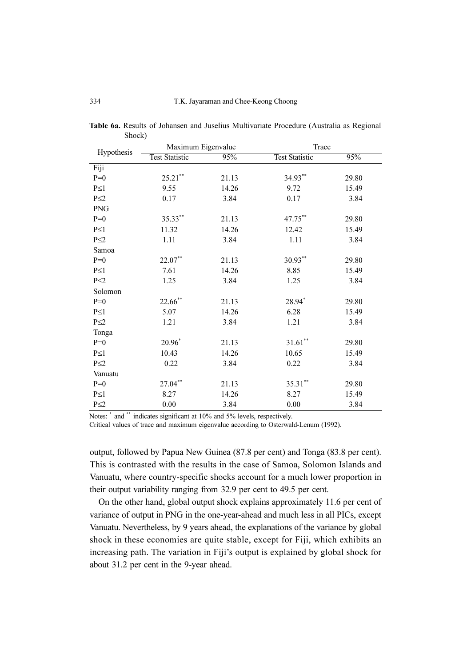|            | Maximum Eigenvalue    |       | Trace                 |       |  |
|------------|-----------------------|-------|-----------------------|-------|--|
| Hypothesis | <b>Test Statistic</b> | 95%   | <b>Test Statistic</b> | 95%   |  |
| Fiji       |                       |       |                       |       |  |
| $P=0$      | $25.21***$            | 21.13 | 34.93**               | 29.80 |  |
| $P\leq 1$  | 9.55                  | 14.26 | 9.72                  | 15.49 |  |
| $P \leq 2$ | 0.17                  | 3.84  | 0.17                  | 3.84  |  |
| <b>PNG</b> |                       |       |                       |       |  |
| $P=0$      | 35.33**               | 21.13 | 47.75**               | 29.80 |  |
| $P\leq 1$  | 11.32                 | 14.26 | 12.42                 | 15.49 |  |
| $P \leq 2$ | 1.11                  | 3.84  | 1.11                  | 3.84  |  |
| Samoa      |                       |       |                       |       |  |
| $P=0$      | $22.07**$             | 21.13 | $30.93***$            | 29.80 |  |
| $P\leq 1$  | 7.61                  | 14.26 | 8.85                  | 15.49 |  |
| $P \leq 2$ | 1.25                  | 3.84  | 1.25                  | 3.84  |  |
| Solomon    |                       |       |                       |       |  |
| $P=0$      | $22.66$ **            | 21.13 | 28.94*                | 29.80 |  |
| $P\leq 1$  | 5.07                  | 14.26 | 6.28                  | 15.49 |  |
| $P\leq 2$  | 1.21                  | 3.84  | 1.21                  | 3.84  |  |
| Tonga      |                       |       |                       |       |  |
| $P=0$      | $20.96*$              | 21.13 | $31.61***$            | 29.80 |  |
| $P\leq 1$  | 10.43                 | 14.26 | 10.65                 | 15.49 |  |
| $P \leq 2$ | 0.22                  | 3.84  | 0.22                  | 3.84  |  |
| Vanuatu    |                       |       |                       |       |  |
| $P=0$      | $27.04**$             | 21.13 | $35.31***$            | 29.80 |  |
| $P\leq 1$  | 8.27                  | 14.26 | 8.27                  | 15.49 |  |
| $P\leq 2$  | 0.00                  | 3.84  | 0.00                  | 3.84  |  |

Table 6a. Results of Johansen and Juselius Multivariate Procedure (Australia as Regional Shock)

Notes: \* and \*\* indicates significant at 10% and 5% levels, respectively.

Critical values of trace and maximum eigenvalue according to Osterwald-Lenum (1992).

output, followed by Papua New Guinea (87.8 per cent) and Tonga (83.8 per cent). This is contrasted with the results in the case of Samoa, Solomon Islands and Vanuatu, where country-specific shocks account for a much lower proportion in their output variability ranging from 32.9 per cent to 49.5 per cent.

On the other hand, global output shock explains approximately 11.6 per cent of variance of output in PNG in the one-year-ahead and much less in all PICs, except Vanuatu. Nevertheless, by 9 years ahead, the explanations of the variance by global shock in these economies are quite stable, except for Fiji, which exhibits an increasing path. The variation in Fiji's output is explained by global shock for about 31.2 per cent in the 9-year ahead.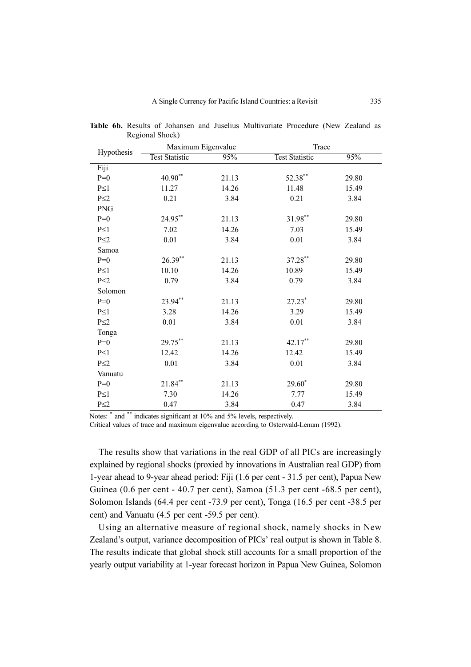|            | Maximum Eigenvalue    |       |                       | Trace |  |  |
|------------|-----------------------|-------|-----------------------|-------|--|--|
| Hypothesis | <b>Test Statistic</b> | 95%   | <b>Test Statistic</b> | 95%   |  |  |
| Fiji       |                       |       |                       |       |  |  |
| $P=0$      | $40.90**$             | 21.13 | 52.38**               | 29.80 |  |  |
| $P\leq 1$  | 11.27                 | 14.26 | 11.48                 | 15.49 |  |  |
| $P \leq 2$ | 0.21                  | 3.84  | 0.21                  | 3.84  |  |  |
| <b>PNG</b> |                       |       |                       |       |  |  |
| $P=0$      | $24.95***$            | 21.13 | 31.98**               | 29.80 |  |  |
| $P\leq 1$  | 7.02                  | 14.26 | 7.03                  | 15.49 |  |  |
| $P \leq 2$ | $0.01\,$              | 3.84  | 0.01                  | 3.84  |  |  |
| Samoa      |                       |       |                       |       |  |  |
| $P=0$      | $26.39***$            | 21.13 | 37.28**               | 29.80 |  |  |
| $P\leq 1$  | 10.10                 | 14.26 | 10.89                 | 15.49 |  |  |
| $P \leq 2$ | 0.79                  | 3.84  | 0.79                  | 3.84  |  |  |
| Solomon    |                       |       |                       |       |  |  |
| $P=0$      | 23.94**               | 21.13 | $27.23*$              | 29.80 |  |  |
| $P\leq 1$  | 3.28                  | 14.26 | 3.29                  | 15.49 |  |  |
| $P\leq 2$  | 0.01                  | 3.84  | 0.01                  | 3.84  |  |  |
| Tonga      |                       |       |                       |       |  |  |
| $P=0$      | 29.75**               | 21.13 | 42.17**               | 29.80 |  |  |
| $P\leq 1$  | 12.42                 | 14.26 | 12.42                 | 15.49 |  |  |
| $P \leq 2$ | 0.01                  | 3.84  | 0.01                  | 3.84  |  |  |
| Vanuatu    |                       |       |                       |       |  |  |
| $P=0$      | $21.84***$            | 21.13 | $29.60*$              | 29.80 |  |  |
| $P\leq 1$  | 7.30                  | 14.26 | 7.77                  | 15.49 |  |  |
| $P \leq 2$ | 0.47                  | 3.84  | 0.47                  | 3.84  |  |  |

Table 6b. Results of Johansen and Juselius Multivariate Procedure (New Zealand as Regional Shock)

Notes:  $*$  and  $**$  indicates significant at 10% and 5% levels, respectively.

Critical values of trace and maximum eigenvalue according to Osterwald-Lenum (1992).

The results show that variations in the real GDP of all PICs are increasingly explained by regional shocks (proxied by innovations in Australian real GDP) from 1-year ahead to 9-year ahead period: Fiji (1.6 per cent - 31.5 per cent), Papua New Guinea (0.6 per cent - 40.7 per cent), Samoa (51.3 per cent -68.5 per cent), Solomon Islands (64.4 per cent -73.9 per cent), Tonga (16.5 per cent -38.5 per cent) and Vanuatu (4.5 per cent -59.5 per cent).

Using an alternative measure of regional shock, namely shocks in New Zealand's output, variance decomposition of PICs' real output is shown in Table 8. The results indicate that global shock still accounts for a small proportion of the yearly output variability at 1-year forecast horizon in Papua New Guinea, Solomon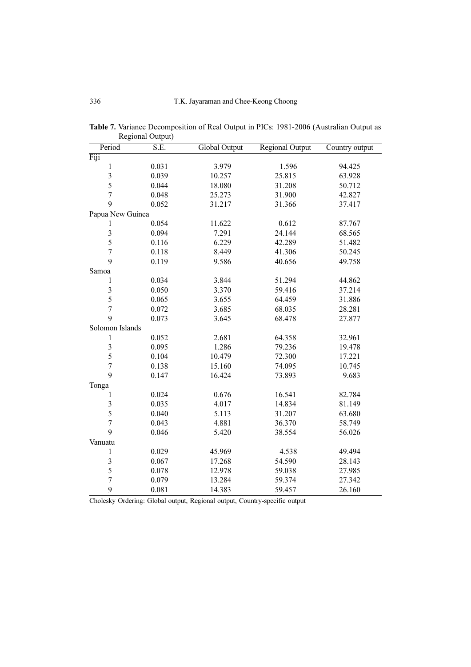| Period           | $\sim$ - $\sim$ $\sim$ $\sim$ $\sim$<br>S.E. | Global Output | <b>Regional Output</b> | Country output |
|------------------|----------------------------------------------|---------------|------------------------|----------------|
| Fiji             |                                              |               |                        |                |
| $\,1$            | 0.031                                        | 3.979         | 1.596                  | 94.425         |
| 3                | 0.039                                        | 10.257        | 25.815                 | 63.928         |
| 5                | 0.044                                        | 18.080        | 31.208                 | 50.712         |
| $\overline{7}$   | 0.048                                        | 25.273        | 31.900                 | 42.827         |
| 9                | 0.052                                        | 31.217        | 31.366                 | 37.417         |
| Papua New Guinea |                                              |               |                        |                |
| 1                | 0.054                                        | 11.622        | 0.612                  | 87.767         |
| 3                | 0.094                                        | 7.291         | 24.144                 | 68.565         |
| 5                | 0.116                                        | 6.229         | 42.289                 | 51.482         |
| $\overline{7}$   | 0.118                                        | 8.449         | 41.306                 | 50.245         |
| 9                | 0.119                                        | 9.586         | 40.656                 | 49.758         |
| Samoa            |                                              |               |                        |                |
| $\mathbf 1$      | 0.034                                        | 3.844         | 51.294                 | 44.862         |
| 3                | 0.050                                        | 3.370         | 59.416                 | 37.214         |
| 5                | 0.065                                        | 3.655         | 64.459                 | 31.886         |
| $\overline{7}$   | 0.072                                        | 3.685         | 68.035                 | 28.281         |
| 9                | 0.073                                        | 3.645         | 68.478                 | 27.877         |
| Solomon Islands  |                                              |               |                        |                |
| $\,1$            | 0.052                                        | 2.681         | 64.358                 | 32.961         |
| $\mathfrak{Z}$   | 0.095                                        | 1.286         | 79.236                 | 19.478         |
| 5                | 0.104                                        | 10.479        | 72.300                 | 17.221         |
| $\overline{7}$   | 0.138                                        | 15.160        | 74.095                 | 10.745         |
| 9                | 0.147                                        | 16.424        | 73.893                 | 9.683          |
| Tonga            |                                              |               |                        |                |
| $\mathbf 1$      | 0.024                                        | 0.676         | 16.541                 | 82.784         |
| $\sqrt{3}$       | 0.035                                        | 4.017         | 14.834                 | 81.149         |
| 5                | 0.040                                        | 5.113         | 31.207                 | 63.680         |
| $\boldsymbol{7}$ | 0.043                                        | 4.881         | 36.370                 | 58.749         |
| 9                | 0.046                                        | 5.420         | 38.554                 | 56.026         |
| Vanuatu          |                                              |               |                        |                |
| $\mathbf 1$      | 0.029                                        | 45.969        | 4.538                  | 49.494         |
| $\sqrt{3}$       | 0.067                                        | 17.268        | 54.590                 | 28.143         |
| 5                | 0.078                                        | 12.978        | 59.038                 | 27.985         |
| $\sqrt{ }$       | 0.079                                        | 13.284        | 59.374                 | 27.342         |
| 9                | 0.081                                        | 14.383        | 59.457                 | 26.160         |

Table 7. Variance Decomposition of Real Output in PICs: 1981-2006 (Australian Output as Regional Output)

Cholesky Ordering: Global output, Regional output, Country-specific output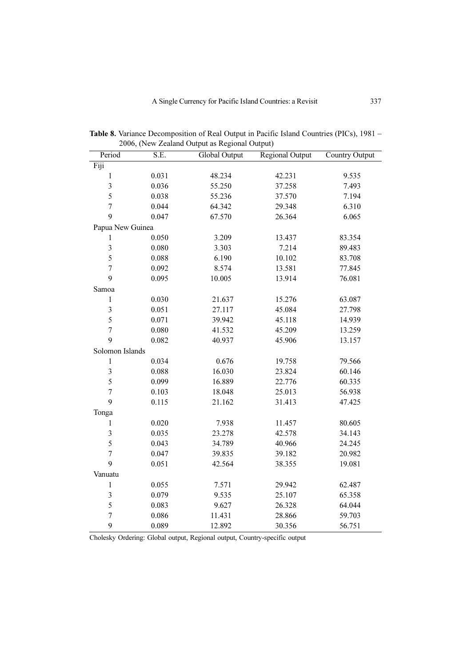| Period           | S.E.  | <b>Global Output</b> | Regional Output | Country Output |
|------------------|-------|----------------------|-----------------|----------------|
| Fiji             |       |                      |                 |                |
| $\mathbf{1}$     | 0.031 | 48.234               | 42.231          | 9.535          |
| 3                | 0.036 | 55.250               | 37.258          | 7.493          |
| 5                | 0.038 | 55.236               | 37.570          | 7.194          |
| $\overline{7}$   | 0.044 | 64.342               | 29.348          | 6.310          |
| 9                | 0.047 | 67.570               | 26.364          | 6.065          |
| Papua New Guinea |       |                      |                 |                |
| 1                | 0.050 | 3.209                | 13.437          | 83.354         |
| 3                | 0.080 | 3.303                | 7.214           | 89.483         |
| 5                | 0.088 | 6.190                | 10.102          | 83.708         |
| $\overline{7}$   | 0.092 | 8.574                | 13.581          | 77.845         |
| 9                | 0.095 | 10.005               | 13.914          | 76.081         |
| Samoa            |       |                      |                 |                |
| $\mathbf{1}$     | 0.030 | 21.637               | 15.276          | 63.087         |
| 3                | 0.051 | 27.117               | 45.084          | 27.798         |
| 5                | 0.071 | 39.942               | 45.118          | 14.939         |
| $\overline{7}$   | 0.080 | 41.532               | 45.209          | 13.259         |
| 9                | 0.082 | 40.937               | 45.906          | 13.157         |
| Solomon Islands  |       |                      |                 |                |
| $\mathbf{1}$     | 0.034 | 0.676                | 19.758          | 79.566         |
| 3                | 0.088 | 16.030               | 23.824          | 60.146         |
| 5                | 0.099 | 16.889               | 22.776          | 60.335         |
| $\overline{7}$   | 0.103 | 18.048               | 25.013          | 56.938         |
| 9                | 0.115 | 21.162               | 31.413          | 47.425         |
| Tonga            |       |                      |                 |                |
| $\mathbf{1}$     | 0.020 | 7.938                | 11.457          | 80.605         |
| 3                | 0.035 | 23.278               | 42.578          | 34.143         |
| 5                | 0.043 | 34.789               | 40.966          | 24.245         |
| $\overline{7}$   | 0.047 | 39.835               | 39.182          | 20.982         |
| 9                | 0.051 | 42.564               | 38.355          | 19.081         |
| Vanuatu          |       |                      |                 |                |
| $\mathbf{1}$     | 0.055 | 7.571                | 29.942          | 62.487         |
| 3                | 0.079 | 9.535                | 25.107          | 65.358         |
| 5                | 0.083 | 9.627                | 26.328          | 64.044         |
| $\overline{7}$   | 0.086 | 11.431               | 28.866          | 59.703         |
| 9                | 0.089 | 12.892               | 30.356          | 56.751         |

Table 8. Variance Decomposition of Real Output in Pacific Island Countries (PICs), 1981 – 2006, (New Zealand Output as Regional Output)

Cholesky Ordering: Global output, Regional output, Country-specific output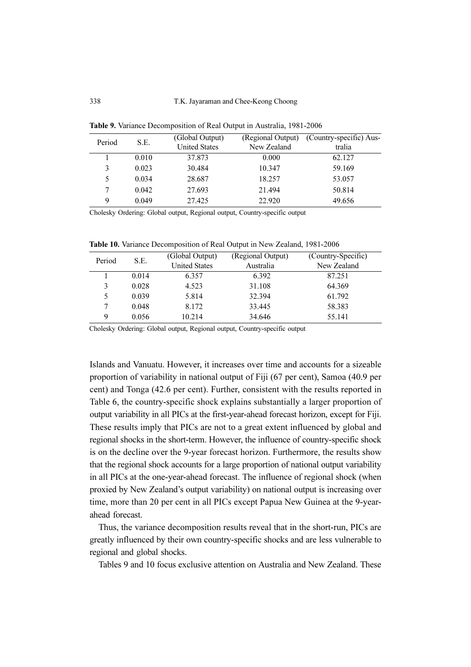| Period<br>S.E. | (Global Output) |                      | (Regional Output) (Country-specific) Aus- |        |
|----------------|-----------------|----------------------|-------------------------------------------|--------|
|                |                 | <b>United States</b> | New Zealand                               | tralia |
|                | 0.010           | 37.873               | 0.000                                     | 62.127 |
| 3              | 0.023           | 30.484               | 10.347                                    | 59.169 |
| 5              | 0.034           | 28.687               | 18.257                                    | 53.057 |
| 7              | 0.042           | 27.693               | 21.494                                    | 50.814 |
| 9              | 0.049           | 27.425               | 22.920                                    | 49.656 |

Table 9. Variance Decomposition of Real Output in Australia, 1981-2006

Cholesky Ordering: Global output, Regional output, Country-specific output

Table 10. Variance Decomposition of Real Output in New Zealand, 1981-2006

| Period<br>S.E. | (Global Output) | (Regional Output)    | (Country-Specific) |             |
|----------------|-----------------|----------------------|--------------------|-------------|
|                |                 | <b>United States</b> | Australia          | New Zealand |
|                | 0.014           | 6.357                | 6.392              | 87.251      |
| 3              | 0.028           | 4.523                | 31.108             | 64.369      |
| 5              | 0.039           | 5.814                | 32.394             | 61.792      |
|                | 0.048           | 8.172                | 33.445             | 58.383      |
| 9              | 0.056           | 10.214               | 34.646             | 55.141      |

Cholesky Ordering: Global output, Regional output, Country-specific output

Islands and Vanuatu. However, it increases over time and accounts for a sizeable proportion of variability in national output of Fiji (67 per cent), Samoa (40.9 per cent) and Tonga (42.6 per cent). Further, consistent with the results reported in Table 6, the country-specific shock explains substantially a larger proportion of output variability in all PICs at the first-year-ahead forecast horizon, except for Fiji. These results imply that PICs are not to a great extent influenced by global and regional shocks in the short-term. However, the influence of country-specific shock is on the decline over the 9-year forecast horizon. Furthermore, the results show that the regional shock accounts for a large proportion of national output variability in all PICs at the one-year-ahead forecast. The influence of regional shock (when proxied by New Zealand's output variability) on national output is increasing over time, more than 20 per cent in all PICs except Papua New Guinea at the 9-yearahead forecast.

Thus, the variance decomposition results reveal that in the short-run, PICs are greatly influenced by their own country-specific shocks and are less vulnerable to regional and global shocks.

Tables 9 and 10 focus exclusive attention on Australia and New Zealand. These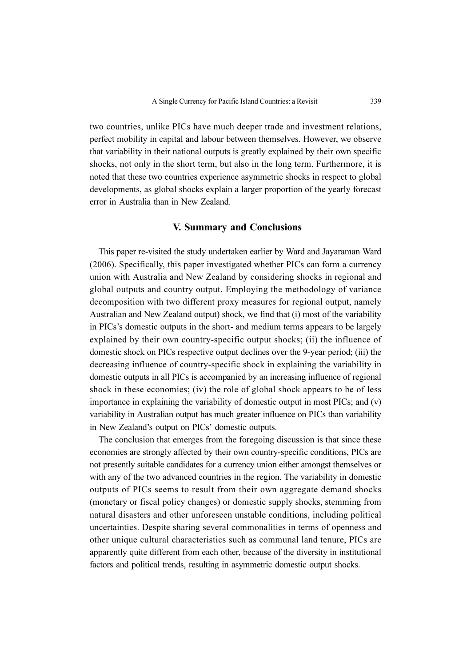two countries, unlike PICs have much deeper trade and investment relations, perfect mobility in capital and labour between themselves. However, we observe that variability in their national outputs is greatly explained by their own specific shocks, not only in the short term, but also in the long term. Furthermore, it is noted that these two countries experience asymmetric shocks in respect to global developments, as global shocks explain a larger proportion of the yearly forecast error in Australia than in New Zealand.

# V. Summary and Conclusions

This paper re-visited the study undertaken earlier by Ward and Jayaraman Ward (2006). Specifically, this paper investigated whether PICs can form a currency union with Australia and New Zealand by considering shocks in regional and global outputs and country output. Employing the methodology of variance decomposition with two different proxy measures for regional output, namely Australian and New Zealand output) shock, we find that (i) most of the variability in PICs's domestic outputs in the short- and medium terms appears to be largely explained by their own country-specific output shocks; (ii) the influence of domestic shock on PICs respective output declines over the 9-year period; (iii) the decreasing influence of country-specific shock in explaining the variability in domestic outputs in all PICs is accompanied by an increasing influence of regional shock in these economies; (iv) the role of global shock appears to be of less importance in explaining the variability of domestic output in most PICs; and (v) variability in Australian output has much greater influence on PICs than variability in New Zealand's output on PICs' domestic outputs.

The conclusion that emerges from the foregoing discussion is that since these economies are strongly affected by their own country-specific conditions, PICs are not presently suitable candidates for a currency union either amongst themselves or with any of the two advanced countries in the region. The variability in domestic outputs of PICs seems to result from their own aggregate demand shocks (monetary or fiscal policy changes) or domestic supply shocks, stemming from natural disasters and other unforeseen unstable conditions, including political uncertainties. Despite sharing several commonalities in terms of openness and other unique cultural characteristics such as communal land tenure, PICs are apparently quite different from each other, because of the diversity in institutional factors and political trends, resulting in asymmetric domestic output shocks.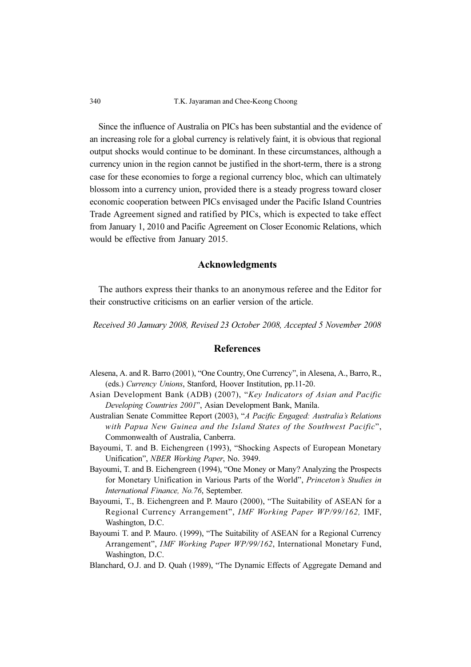340 T.K. Jayaraman and Chee-Keong Choong

Since the influence of Australia on PICs has been substantial and the evidence of an increasing role for a global currency is relatively faint, it is obvious that regional output shocks would continue to be dominant. In these circumstances, although a currency union in the region cannot be justified in the short-term, there is a strong case for these economies to forge a regional currency bloc, which can ultimately blossom into a currency union, provided there is a steady progress toward closer economic cooperation between PICs envisaged under the Pacific Island Countries Trade Agreement signed and ratified by PICs, which is expected to take effect from January 1, 2010 and Pacific Agreement on Closer Economic Relations, which would be effective from January 2015.

## Acknowledgments

The authors express their thanks to an anonymous referee and the Editor for their constructive criticisms on an earlier version of the article.

Received 30 January 2008, Revised 23 October 2008, Accepted 5 November 2008

#### References

- Alesena, A. and R. Barro (2001), "One Country, One Currency", in Alesena, A., Barro, R., (eds.) Currency Unions, Stanford, Hoover Institution, pp.11-20.
- Asian Development Bank (ADB) (2007), "Key Indicators of Asian and Pacific Developing Countries 2001", Asian Development Bank, Manila.
- Australian Senate Committee Report (2003), "A Pacific Engaged: Australia's Relations with Papua New Guinea and the Island States of the Southwest Pacific", Commonwealth of Australia, Canberra.
- Bayoumi, T. and B. Eichengreen (1993), "Shocking Aspects of European Monetary Unification", NBER Working Paper, No. 3949.
- Bayoumi, T. and B. Eichengreen (1994), "One Money or Many? Analyzing the Prospects for Monetary Unification in Various Parts of the World", Princeton's Studies in International Finance, No.76, September.
- Bayoumi, T., B. Eichengreen and P. Mauro (2000), "The Suitability of ASEAN for a Regional Currency Arrangement", IMF Working Paper WP/99/162, IMF, Washington, D.C.
- Bayoumi T. and P. Mauro. (1999), "The Suitability of ASEAN for a Regional Currency Arrangement", IMF Working Paper WP/99/162, International Monetary Fund, Washington, D.C.
- Blanchard, O.J. and D. Quah (1989), "The Dynamic Effects of Aggregate Demand and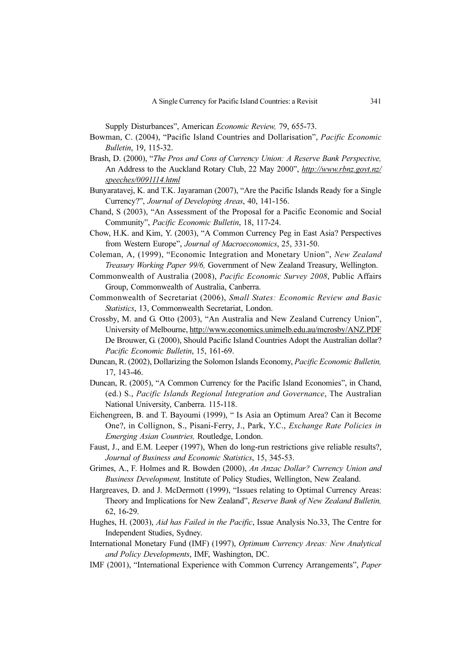Supply Disturbances", American Economic Review, 79, 655-73.

- Bowman, C. (2004), "Pacific Island Countries and Dollarisation", Pacific Economic Bulletin, 19, 115-32.
- Brash, D. (2000), "The Pros and Cons of Currency Union: A Reserve Bank Perspective, An Address to the Auckland Rotary Club, 22 May 2000", http://www.rbnz.govt.nz/ speeches/0091114.html
- Bunyaratavej, K. and T.K. Jayaraman (2007), "Are the Pacific Islands Ready for a Single Currency?", Journal of Developing Areas, 40, 141-156.
- Chand, S (2003), "An Assessment of the Proposal for a Pacific Economic and Social Community", Pacific Economic Bulletin, 18, 117-24.
- Chow, H.K. and Kim, Y. (2003), "A Common Currency Peg in East Asia? Perspectives from Western Europe", Journal of Macroeconomics, 25, 331-50.
- Coleman, A, (1999), "Economic Integration and Monetary Union", New Zealand Treasury Working Paper 99/6, Government of New Zealand Treasury, Wellington.
- Commonwealth of Australia (2008), Pacific Economic Survey 2008, Public Affairs Group, Commonwealth of Australia, Canberra.
- Commonwealth of Secretariat (2006), Small States: Economic Review and Basic Statistics, 13, Commonwealth Secretariat, London.
- Crossby, M. and G. Otto (2003), "An Australia and New Zealand Currency Union", University of Melbourne, http://www.economics.unimelb.edu.au/mcrosby/ANZ.PDF De Brouwer, G. (2000), Should Pacific Island Countries Adopt the Australian dollar? Pacific Economic Bulletin, 15, 161-69.
- Duncan, R. (2002), Dollarizing the Solomon Islands Economy, Pacific Economic Bulletin, 17, 143-46.
- Duncan, R. (2005), "A Common Currency for the Pacific Island Economies", in Chand, (ed.) S., Pacific Islands Regional Integration and Governance, The Australian National University, Canberra. 115-118.
- Eichengreen, B. and T. Bayoumi (1999), " Is Asia an Optimum Area? Can it Become One?, in Collignon, S., Pisani-Ferry, J., Park, Y.C., Exchange Rate Policies in Emerging Asian Countries, Routledge, London.
- Faust, J., and E.M. Leeper (1997), When do long-run restrictions give reliable results?, Journal of Business and Economic Statistics, 15, 345-53.
- Grimes, A., F. Holmes and R. Bowden (2000), An Anzac Dollar? Currency Union and Business Development, Institute of Policy Studies, Wellington, New Zealand.
- Hargreaves, D. and J. McDermott (1999), "Issues relating to Optimal Currency Areas: Theory and Implications for New Zealand", Reserve Bank of New Zealand Bulletin, 62, 16-29.
- Hughes, H. (2003), Aid has Failed in the Pacific, Issue Analysis No.33, The Centre for Independent Studies, Sydney.
- International Monetary Fund (IMF) (1997), Optimum Currency Areas: New Analytical and Policy Developments, IMF, Washington, DC.
- IMF (2001), "International Experience with Common Currency Arrangements", Paper